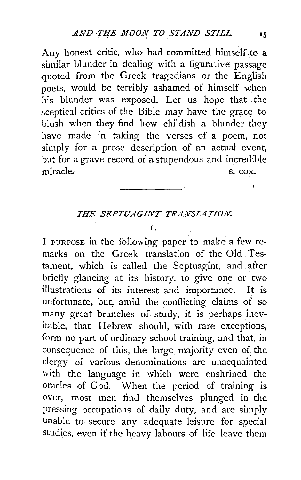Any honest critic, who had committed himself to a similar blunder in dealing with a figurative passage quoted from the Greek tragedians or the English poets, would be terribly ashamed of himself when his blunder was exposed. Let us hope that the sceptical critics of the Bible may have the grace to blush when they find how childish a blunder they have made in taking the verses of a poem, not simply for a prose description of an actual event, but for a grave record of a stupendous and incredible miracle. S. cox.

## *THE SEPTUAGINT TRANSLATION.*

I.

I PURPOSE in the following paper to make a few remarks on the Greek translation of the Old Testament, which is called the Septuagint, and after briefly glancing at its history, to give one or two illustrations of its interest and importance. It is unfortunate, but, amid the conflicting claims of so many great branches of study, it is perhaps inevitable, that Hebrew should, with rare exceptions, form no part of ordinary school training, and that, in consequence of this, the large, majority even of the clergy of various denominations are unacquainted with the language in which were enshrined the oracles of God. When the period of training is over, most men find themselves plunged in the pressing occupations of daily duty, and are simply unable to secure any adequate leisure for special studies, even if the heavy labours of life leave them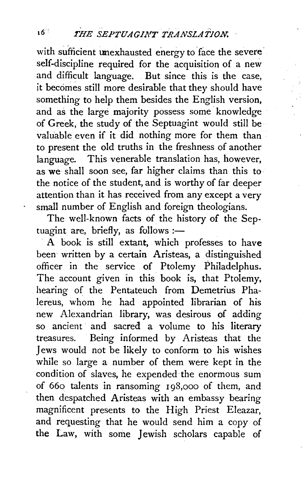# t6 ~ *f'HE SEPTUAGIJ\'T TRANSLATJON.*

with sufficient unexhausted energy to face the severe. self-discipline required for the acquisition of a new and difficult language. But since this is the case, it becomes still more desirable that they should have something to help them besides the English version, and as the large majority possess some knowledge of Greek, the study of the Septuagint would still be valuable even if it did nothing more for them than to present the old truths in the freshness of another language. This venerable translation has, however, as we shall soon see, far higher claims than this to the notice of the student, and is worthy of far deeper attention than it has received from any except a very small number of English and foreign theologians.

The well-known facts of the history of the Septuagint are, briefly, as follows :-

A book is still extant, which professes to have been written by a certain Aristeas, a distinguished officer in the service of Ptolemy Philadelphus. The account given in this book is, that Ptolemy, hearing of the Pentateuch from Demetrius Phalereus, whom he had appointed librarian of his new Alexandrian library, was desirous of adding so ancient and sacred a volume to his literary treasures. Being informed by Aristeas that the Jews would not be likely to conform to his wishes while so large a number of them were kept in the condition of slaves, he expended the enormous sum of 660 talents in ransoming 198,000 of them, and then despatched Aristeas with an embassy bearing magnificent presents to the High Priest Eleazar, and requesting that he would send him a copy of the Law, with some Jewish scholars capable of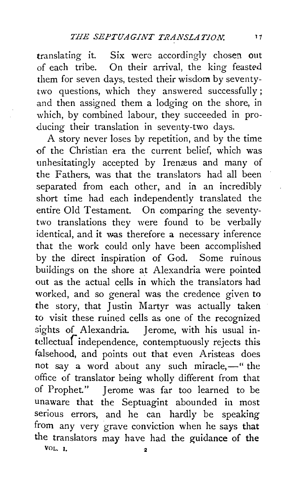translating it. Six were accordingly chosen out of each tribe. On their arrival, the king feasted them for seven days, tested their wisdom by seventytwo questions, which they answered successfully; and then assigned them a lodging on the shore, in which, by combined labour, they succeeded in producing their translation in seventy-two days.

A story never loses by repetition, and by the time -of the Christian era the current belief, which was unhesitatingly accepted by Irenæus and many of the Fathers, was that the translators had all been separated from each other, and in an incredibly short time had each independently translated the entire Old Testament. On comparing the seventytwo translations they were found to be verbally identical, and it was therefore a necessary inference that the work could only have been accomplished by the direct inspiration of God. Some ruinous buildings on the shore at Alexandria were pointed out as the actual cells in which the translators had worked, and so general was the credence given to the story, that Justin Martyr was actually taken to visit these ruined cells as one of the recognized sights of Alexandria. Jerome, with his usual intellectuaf independence, contemptuously rejects this falsehood, and points out that even Aristeas does not say a word about any such miracle,-" the office of translator being wholly different from that of Prophet." Jerome was far too learned to be unaware that the Septuagint abounded in most serious errors, and he can hardly be speaking from any very grave conviction when he says that the translators may have had the guidance of the VOL.<sub>1</sub>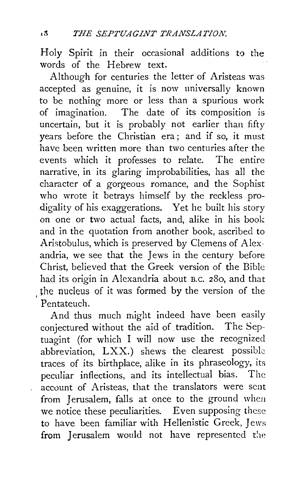Holy Spirit in their occasional additions to the words of the Hebrew text.

, the nucleus of it was formed by the version of the Although for centuries the letter of Aristeas was accepted as genuine, it is now universally known to be nothing more or less than a spurious work of imagination. The date of its composition is uncertain, but it is probably not earlier than fifty years before the Christian era; and if so, it must have been written more than two centuries after the events which it professes to relate. The entire narrative, in its glaring improbabilities, has all the character of a gorgeous romance, and the Sophist who wrote it betrays himself by the reckless prodigality of his exaggerations. Yet he built his story on one or two actual facts, and, alike in his book and in the quotation from another book, ascribed to Aristobulus, which is preserved by Clemens of Alexandria, we see that the Jews in the century before Christ, believed that the Greek version of the Bible had its origin in Alexandria about B.c. 280, and that Pentateuch.

And thus much might indeed have been easily conjectured without the aid of. tradition. The Septuagint (for which I will now use the recognized abbreviation, LXX.) shews the clearest possible traces of its birthplace, alike in its phraseology, its peculiar inflections, and its intellectual bias. The account of Aristeas, that the translators were sent from Jerusalem, falls at once to the ground wheu we notice these peculiarities. Even supposing these to have been familiar with Hellenistic Greek, Jews from Jerusalem would not have represented the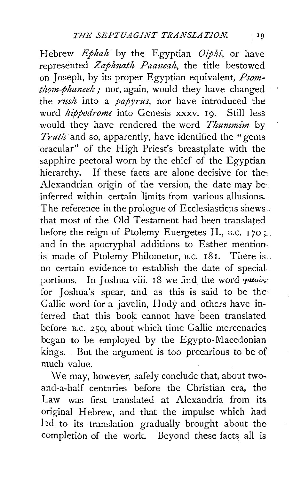Hebrew *Ephah* by the Egyptian *Oiphi,* or have represented *Zaphnath Paaneah,* the title bestowed on Joseph, by its proper Egyptian equivalent,  $Psom$ *thom-phaneek* ,· nor, again, would they have changed the *rush* into a *papyrus*, nor have introduced the word *hippodrome* into Genesis xxxv. 19. Still less would they have rendered the word *Thummim* by *Truth* and so, apparently, have identified the "gems oracular" of the High Priest's breastplate with the sapphire pectoral worn by the chief of the Egyptian hierarchy. If these facts are alone decisive for the. Alexandrian origin of the version, the date may be: inferred within certain limits from various allusions. The reference in the prologue of Ecclesiasticus shews. that most of the Old Testament had been translated before the reign of Ptolemy Euergetes II., B.C. 170; and in the apocryphal additions to Esther mention, is made of Ptolemy Philometor, B.C. 181. There is. no certain evidence to establish the date of special. portions. In Joshua viii. 18 we find the word  $\gamma$ *aug*osfor Joshua's spear, and as this is said to be the· Gallic word for a javelin, Hody and others have inferred that this book cannot have been translated before B.c. 250, about which time Gallic mercenaries began to be employed by the Egypto-Macedonian kings. But the argument is too precarious to be of much value.

We may, however, safely conclude that, about twoand-a-half centuries before the Christian era, the Law was first translated at Alexandria from its. original Hebrew, and that the impulse which had led to its translation gradually brought about the completion of the work. Beyond these facts all is

 $\bar{\beta}$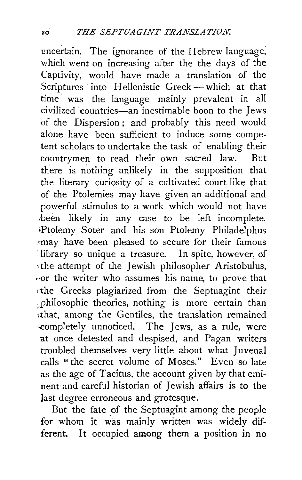uncertain. The ignorance of the Hebrew language; which went on increasing after the the days of the Captivity, would have made a translation of the Scriptures into Hellenistic Greek-which at that time was the language mainly prevalent in all civilized ·countries-an inestimable boon to the Jews of the Dispersion; and probably this need would alone have been sufficient to induce some competent scholars to undertake the task of enabling their countrymen to read their own sacred law. But there is nothing unlikely in the supposition that the literary curiosity of a cultivated court like that of the Ptolemies may have given an additional and powerful stimulus to a work which would not have been likely in any case to be left incomplete. kPtolemy Soter and his son Ptolemy Philadelphus 'may have been pleased to secure for their famous ·library so unique a treasure. In spite, however, of -the attempt of the Jewish philosopher Aristobulus, -or the writer who assumes his name, to prove that )1:he Greeks plagiarized from the Septuagint their ~philosophic theories, nothing is more certain than Tthat, among the Gentiles, the translation remained -completely unnoticed. The Jews, as a rule, were at once detested and despised, and Pagan writers troubled themselves very little about what Juvenal calls "the secret volume of Moses." Even so late as the age of Tacitus, the account given by that eminent and careful historian of Jewish affairs is to the last degree erroneous and grotesque.

But the fate of the Septuagint among the people for whom it was mainly written was widely different. It occupied among them a position in no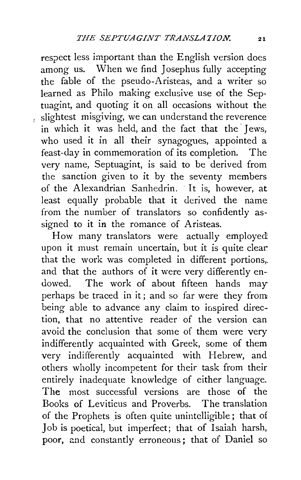respect less important than the English version does among us. When we find Josephus fully accepting the fable of the pseudo-Aristeas, and a writer so learned as Philo making exclusive use of the Septuagint, and quoting it on all occasions without the slightest misgiving, we can understand the reverence in which it was held, and the fact that the Jews, who used it in all their synagogues, appointed a feast-day in commemoration of its completion. The very name, Septuagint, is said to be derived from the sanction given to it by the seventy members of the Alexandrian Sanhedrin. · It is, however, at least equally probable that it derived the name from the number of translators so confidently assigned to it in the romance of Aristeas.

How many translators were actually employed. upon it must remain uncertain, but it is quite clear that the work was completed in different portions,. and that the authors of it were very differently endowed. The work of about fifteen hands may perhaps be traced in it; and so far were they from being able to advance any claim to inspired direction, that no attentive reader of the version can avoid the conclusion that some of them were very indifferently acquainted with Greek, some of them very indifferently acquainted with Hebrew, and others wholly incompetent for their task from their entirely inadequate knowledge of either language. The most successful versions are those of the Books of Leviticus and Proverbs. The translation of the Prophets is often quite unintelligible; that of Job is poetical, but imperfect; that of Isaiah harsh, poor, and constantly erroneous; that of Daniel so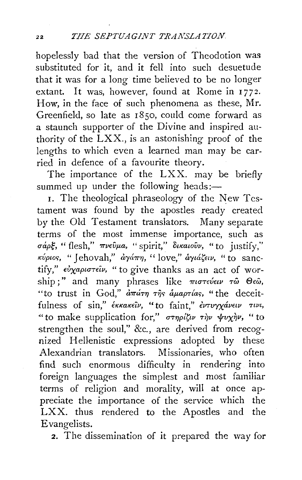hopelessly bad that the version of Theodotion was substituted for it, and it fell into such desuetude that it was for a long time believed to be no longer extant. It was, however, found at Rome in 1772. How, in the face of such phenomena as these, Mr. Greenfield, so late as 1850, could come forward as a staunch supporter of the Divine and inspired authority of the LXX., is an astonishing proof of the lengths to which even a learned man may be carried in defence of a favourite theory.

The importance of the LXX. may be briefly summed up under the following heads:-

I. The theological phraseology of the New Testament was found by the apostles ready created by the Old Testament translators. Many separate terms of the most immense importance, such as *uapg,* "flesh," *7TVEvµa,* "spirit," *oucawvv,* "to justify,'' *Kvpwr;;,* " Jehovah," *<l'Ya7T17,* " love," *a'YtasE1v,* " to sanctify," εύχαριστείν, " to give thanks as an act of worship ;" and many phrases like πιστεύειν τω Θεώ, "to trust in God,"  $d\pi d\tau\eta$   $\tau\hat{\eta}s$   $d\mu a\rho\tau a s$ , "the deceitfulness of sin," έκκακεΐν, "to faint," έντυγχάνειν τινι, " to make supplication for," στηρίζιν την ψυχήν, " to strengthen the soul," &c., are derived from recognized Hellenistic expressions adopted by these Alexandrian translators. Missionaries, who often find such enormous difficulty in rendering into foreign languages the simplest and most familiar terms of religion and morality, will at once appreciate the importance of the service which the LXX. thus rendered to the Apostles and the Evangelists.

2. The dissemination of it prepared the way for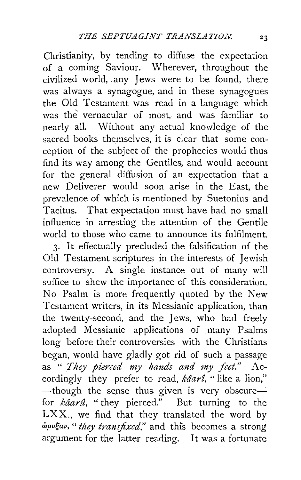Christianity, by tending to diffuse the expectation of a coming Saviour. Wherever, throughout the civilized world, .any Jews were to be found, there was always a synagogue, and in these synagogues the Old Testament was read in a language which was the vernacular of most, and was familiar to nearly all. Without any actual knowledge of the sacred books themselves, it is clear that some conception of the subject of the prophecies would thus find its way among the Gentiles, and would account for the general diffusion of an expectation that a new Deliverer would soon arise in the East, the prevalence of which is mentioned by Suetonius and Tacitus. That expectation must have had no small influence in arresting the attention of the Gentile world to those who came to announce its fulfilment.

3. It effectually precluded the falsification of the Old Testament scriptures in the interests of Jewish controversy. A single instance out of many will suffice to shew the importance of this consideration. No Psalm is more frequently quoted by the New Testament writers, in its Messianic application, than the twenty-second, and the Jews, who had freely adopted Messianic applications of many Psalms long before their controversies with the Christians began, would have gladly got rid of such a passage as " *They pierced niy hands and my feet."* Accordingly they prefer to read, *kâarî*, "like a lion,"  $-$ though the sense thus given is very obscure $$ for *kâarû*, "they pierced." But turning to the LXX., we find that they translated the word by *wpugav,* " *they transfixed,"* and this becomes a strong argument for the latter reading. It was a fortunate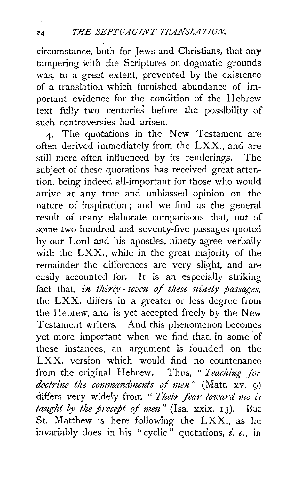circumstance, both for Jews and Christians, that any tampering with the Scriptures on dogmatic grounds was, to a great extent, prevented by the existence of a translation which furnished abundance of important evidence for the condition of the Hebrew text fully two centuries before the possibility of such controversies had arisen.

4. The quotations in the New Testament are often derived immediately from the LXX., and are still more often influenced by its renderings. The subject of these quotations has received great attention, being indeed all-important for those who would arrive at any true and unbiassed opinion on the nature of inspiration ; and we find as the general result of many elaborate comparisons that, out of some two hundred and seventy-five passages quoted by our Lord and his apostles, ninety agree verbally with the LXX., while in the great majority of the remainder the differences are very slight, and are easily accounted for. It is an especially striking fact that, *in thirty-seven of these ninety passages,*  the LXX. differs in a greater or less degree from the Hebrew, and is yet accepted freely by the New Testament writers. And this phenomenon becomes yet more important when we find that, in some of these instances, an argument is founded on the LXX. version which would find no countenance from the original Hebrew. Thus, *"1 eaching for doctrine the commandments of men"* (Matt. xv. 9) differs very widely from " Their fear toward me is taught by the precept of men" (Isa. xxix. 13). But St. Matthew is here following the LXX., as he invariably does in his "cyclic" quctations, *i. e.*, in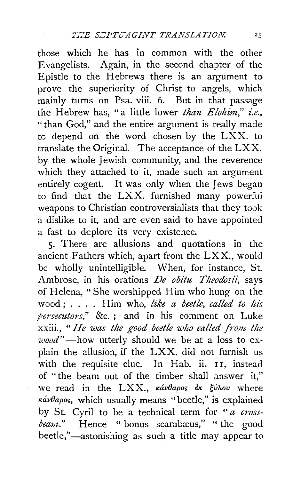those which he has in common with the other Evangelists. Again, in the second chapter of the Epistle to the Hebrews there is an argument to prove the superiority of Christ to angels, which mainly turns on Psa. viii. 6. But in that passage the Hebrew has, "a little lower *than Elohim," i.e.,*  "than God," and the entire argument is really made tc depend on the word chosen by the LXX. to translate the Original. The acceptance of the LX X. by the whole Jewish community, and the reverence which they attached to it, made such an argument entirely cogent. It was only when the Jews began to find that the LXX. furnished many powerful weapons to Christian controversialists that they took a dislike to it, and are even said to have appointed a fast to deplore its very existence.

5. There are allusions and quotations in the ancient Fathers which, apart from the LXX., would be wholly unintelligible. When, for instance, St. Ambrose, in his orations *De obitu Theodosii:* says of Helena, "She worshipped Him who hung on the wood; .... Him who, *like a beetle, called to his persecutors,"* &c. ; and in his comment on Luke xxiii., " *He was the good beetle who called front the wood"-how* utterly should we be at a loss to explain the allusion, if the LXX. did not furnish us with the requisite clue. In Hab. ii. 11, instead of "the beam out of the timber shall answer it," we read in the LXX., κάνθαρος έκ ξύλου where  $\kappa \dot{\alpha} \nu \theta a \rho$ os, which usually means "beetle," is explained by St. Cyril to be a technical term for *"a crossbeam.*" Hence " bonus scarabæus," " the good beetle,"-astonishing as such a title may appear to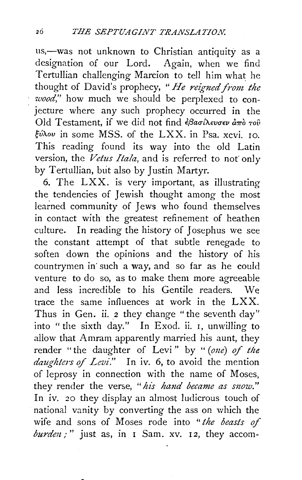us,-was not unknown to Christian antiquity as a designation of our Lord. Again, when we find Tertullian challenging Marcion to tell him what he thought of David's prophecy, "He reigned from the *wood,"* how much we should be perplexed to conjecture where any such prophecy occurred in the Old Testament, if we did not find *εβασίλευσεν απ*ό του *guxou* in some MSS. of the LXX. in Psa. xcvi. ro. This reading found its way into the old Latin version, the *Vetus Itala*, and is referred to not only by Tertullian, but also by Justin Martyr.

6. The LXX. is very important, as illustrating the tendencies of Jewish *thought* among the most learned community of Jews who found themselves in contact with the greatest refinement of heathen culture. In reading the history of Josephus we see the constant attempt of that subtle renegade to soften down the opinions and the history of his countrymen in' such a way, and so far as he could venture to do so, as to make them more agreeable and less incredible to his Gentile readers. We trace the same influences at work in the LXX. Thus in Gen. ii. 2 they change "the seventh day" into " the sixth day." In Exod. ii. I, unwilling to allow that Amram apparently married his aunt, they render "the daughter of Levi" by " (one) of the *daughters of Levi.*" In iv. 6, to avoid the mention of leprosy in connection with the name of Moses, they render the verse, *"his hand became as snow."*  In iv. 20 they display an almost ludicrous touch of national vanity by converting the ass on which the wife and sons of Moses rode into "the beasts of *burden*;" just as, in I Sam. xv. 12, they accom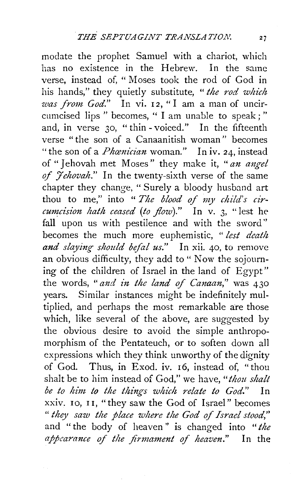modate the prophet Samuel with a chariot, which has no existence in the Hebrew. In the same verse, instead of, "Moses took the rod of God in his hands," they quietly substitute, *"the rod which was from God.*" In vi. 12, "I am a man of uncircumcised lips " becomes, " I am unable to speak;" and, in verse 30, "thin - voiced." In the fifteenth verse "the son of a Canaanitish woman" becomes "the son of a *Phamician* woman." In iv. 24, instead of "Jehovah met Moses" they make it, *"an angel of 7ehovah."* In the twenty-sixth verse of the same chapter they change, " Surely a bloody husband art thou to me," into " *The blood of my child's circum:cision hath ceased (to flow)."* In v. 3, "lest hefall upon us with pestilence and with the sword" becomes the much more euphemistic, " *lest death*  and slaying should befal us." In xii. 40, to remove an obvious difficulty, they add to " Now the sojourning of the children of Israel in the land of Egypt" the words, *"and in the land of Canaan,"* was 430 years. Similar instances might be indefinitely multiplied, and perhaps the most remarkable are those which, like several of the above, are suggested by the obvious desire to avoid the simple anthropomorphism of the Pentateuch, or to soften down all expressions which they think unworthy of the dignity of God. Thus, in Exod. iv. 16, instead of, "thou shalt be to him instead of God," we have, "*thou shalt be to him to the things which relate to God."* In xxiv. 10, I 1, "they saw the God of Israel" becomes " *they saw the place where the God of Israel stood,"*  and "the body of heaven" is changed into *"the appearance of the firmament of heaven."* In the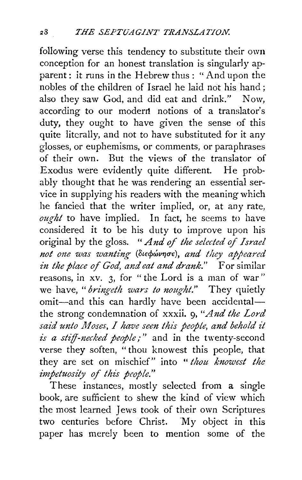following verse this tendency to substitute their own conception for an honest translation is singularly apparent: it runs in the Hebrew thus: "And upon the nobles of the children of Israel he laid not his hand; also they saw God, and did eat and drink." Now, according to our modern notions of a translator's duty, they ought to have given the sense of this quite literally, and not to have substituted for it any glosses, or euphemisms, or comments, or paraphrases of their own. But the views of the translator of Exodus were evidently quite different. He probably thought that he was rendering an essential service in supplying his readers with the meaning which he fancied that the writer implied, or, at any rate, *ought* to have implied. In fact, he seems to have considered it to be his duty to improve upon his original by the gloss. " *And* of *the selected* of *Israel*  not one was wanting (διεφώνησε), and they appeared *in the place of God, and eat and drank."* For similar reasons, in xv. 3, for " the Lord is a man of war" we have, *"bring-eth wars to nought."* They quietly omit-and this can hardly have been accidentalthe strong condemnation of xxxii. 9, *"And the Lord*  said unto Moses, I have seen this people, and behold it *is a stiff-necked people;"* and in the twenty-second verse they soften, " thou knowest this people, that they are set on mischief" into *"thou knowest the impetuosity of this people."* 

These instances, mostly selected from a single book, are sufficient to shew the kind of view which the most learned Jews took of their own Scriptures two centuries before Christ. 'My object in this paper has merely been to mention some of the